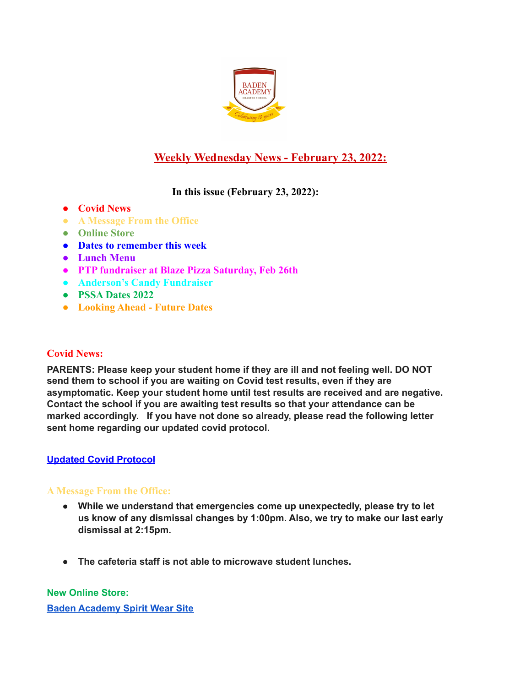

# **Weekly Wednesday News - February 23, 2022:**

## **In this issue (February 23, 2022):**

- **● Covid News**
- **● A Message From the Office**
- **● Online Store**
- **● Dates to remember this week**
- **● Lunch Menu**
- **● PTP fundraiser at Blaze Pizza Saturday, Feb 26th**
- **● Anderson's Candy Fundraiser**
- **● PSSA Dates 2022**
- **● Looking Ahead Future Dates**

## **Covid News:**

**PARENTS: Please keep your student home if they are ill and not feeling well. DO NOT send them to school if you are waiting on Covid test results, even if they are asymptomatic. Keep your student home until test results are received and are negative. Contact the school if you are awaiting test results so that your attendance can be marked accordingly. If you have not done so already, please read the following letter sent home regarding our updated covid protocol.**

## **Updated Covid [Protocol](https://docs.google.com/document/d/1MZOfqQyHxK0uiJCWtP7Aq6GAK19-1s4aJ-rMMfStPco/edit?usp=sharing)**

# **A Message From the Office:**

- **● While we understand that emergencies come up unexpectedly, please try to let us know of any dismissal changes by 1:00pm. Also, we try to make our last early dismissal at 2:15pm.**
- **● The cafeteria staff is not able to microwave student lunches.**

**New Online Store: Baden [Academy](https://evillizard.com/collections/baden-academy-spirit-wear) Spirit Wear Site**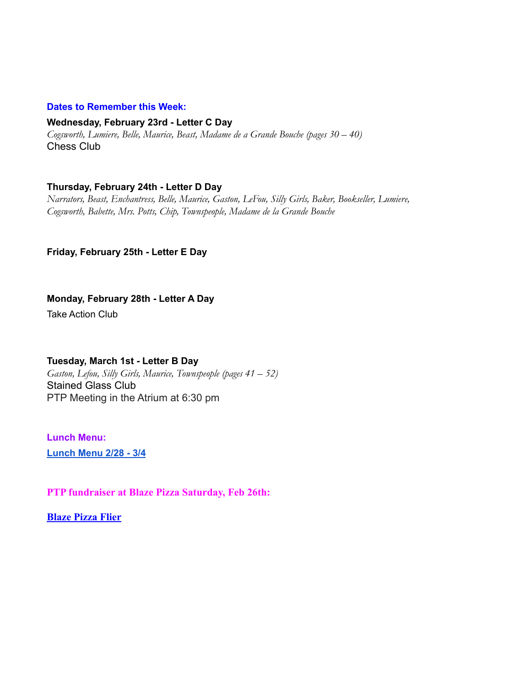#### **Dates to Remember this Week:**

#### **Wednesday, February 23rd - Letter C Day**

*Cogsworth, Lumiere, Belle, Maurice, Beast, Madame de a Grande Bouche (pages 30 – 40)* Chess Club

### **Thursday, February 24th - Letter D Day**

*Narrators, Beast, Enchantress, Belle, Maurice, Gaston, LeFou, Silly Girls, Baker, Bookseller, Lumiere, Cogsworth, Babette, Mrs. Potts, Chip, Townspeople, Madame de la Grande Bouche*

#### **Friday, February 25th - Letter E Day**

### **Monday, February 28th - Letter A Day**

Take Action Club

#### **Tuesday, March 1st - Letter B Day**

*Gaston, Lefou, Silly Girls, Maurice, Townspeople (pages 41 – 52)* Stained Glass Club PTP Meeting in the Atrium at 6:30 pm

**Lunch Menu: [Lunch](https://docs.google.com/document/d/1pSnMPEy36-6AgYSenPtXnIL9l7R9v12riUAUbtndRwE/edit?usp=sharing) Menu 2/28 - 3/4**

**PTP fundraiser at Blaze Pizza Saturday, Feb 26th:**

**[Blaze Pizza Flier](https://docs.google.com/document/d/1zlsbZU61XUQry8jDOpLdoBzXwMqs2IOLpa7Xy0frk1w/edit?usp=sharing)**